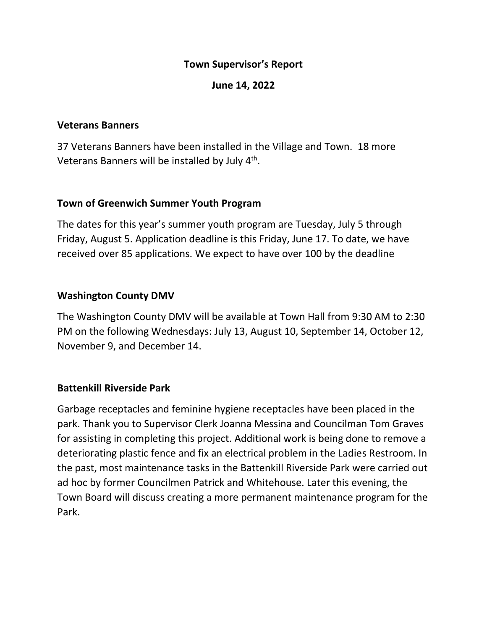## **Town Supervisor's Report**

### **June 14, 2022**

#### **Veterans Banners**

37 Veterans Banners have been installed in the Village and Town. 18 more Veterans Banners will be installed by July 4<sup>th</sup>.

#### **Town of Greenwich Summer Youth Program**

The dates for this year's summer youth program are Tuesday, July 5 through Friday, August 5. Application deadline is this Friday, June 17. To date, we have received over 85 applications. We expect to have over 100 by the deadline

## **Washington County DMV**

The Washington County DMV will be available at Town Hall from 9:30 AM to 2:30 PM on the following Wednesdays: July 13, August 10, September 14, October 12, November 9, and December 14.

#### **Battenkill Riverside Park**

Garbage receptacles and feminine hygiene receptacles have been placed in the park. Thank you to Supervisor Clerk Joanna Messina and Councilman Tom Graves for assisting in completing this project. Additional work is being done to remove a deteriorating plastic fence and fix an electrical problem in the Ladies Restroom. In the past, most maintenance tasks in the Battenkill Riverside Park were carried out ad hoc by former Councilmen Patrick and Whitehouse. Later this evening, the Town Board will discuss creating a more permanent maintenance program for the Park.